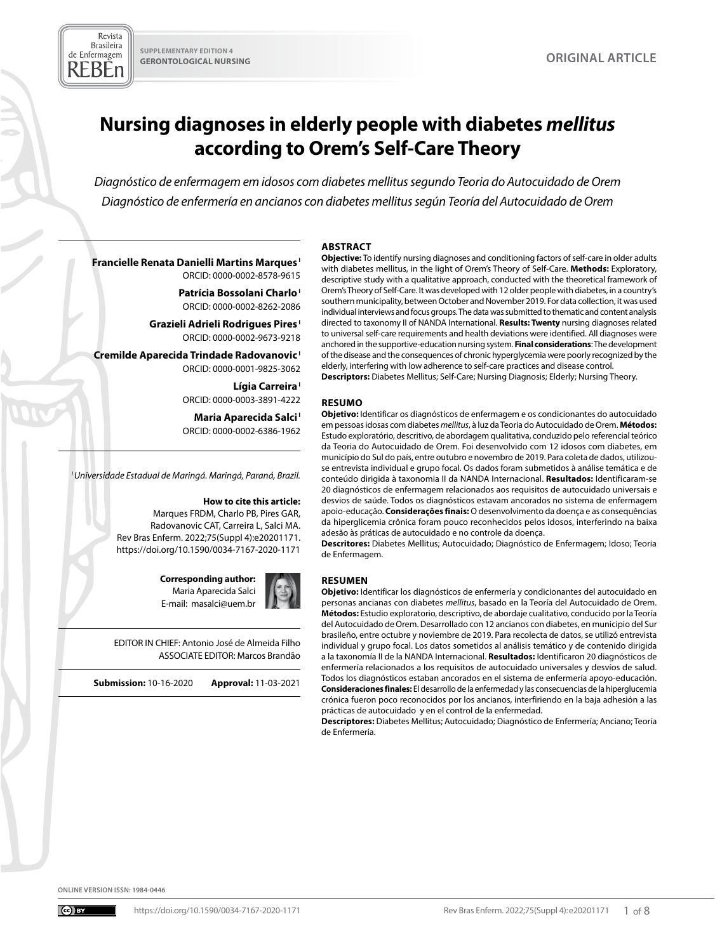Revista **Brasileira** de Enfermagem REBEn

# **Nursing diagnoses in elderly people with diabetes** *mellitus*  **according to Orem's Self-Care Theory**

*Diagnóstico de enfermagem em idosos com diabetes mellitus segundo Teoria do Autocuidado de Orem Diagnóstico de enfermería en ancianos con diabetes mellitus según Teoría del Autocuidado de Orem*

#### **ABSTRACT Objective:** To identify nursing diagnoses and conditioning factors of self-care in older adults

**RESUMO**

**Francielle Renata Danielli Martins Marques I** ORCID: 0000-0002-8578-9615

> **Patrícia Bossolani Charlo I** ORCID: 0000-0002-8262-2086

**Grazieli Adrieli Rodrigues Pires I** ORCID: 0000-0002-9673-9218

**Cremilde Aparecida Trindade Radovanovic I** ORCID: 0000-0001-9825-3062

> Lígia Carreira<sup>1</sup> ORCID: 0000-0003-3891-4222

**Maria Aparecida Salci I** ORCID: 0000-0002-6386-1962

*I Universidade Estadual de Maringá. Maringá, Paraná, Brazil.*

#### **How to cite this article:**

Marques FRDM, Charlo PB, Pires GAR, Radovanovic CAT, Carreira L, Salci MA. Rev Bras Enferm. 2022;75(Suppl 4):e20201171. [https://doi.org/10.1590/0034-7167-2020-1171](https://doi.org/10.1590/0034-7167-2020-1171 )

> **Corresponding author:**  Maria Aparecida Salci E-mail: masalci@uem.br



**Submission:** 10-16-2020 **Approval:** 11-03-2021

adesão às práticas de autocuidado e no controle da doença. **Descritores:** Diabetes Mellitus; Autocuidado; Diagnóstico de Enfermagem; Idoso; Teoria de Enfermagem.



## **RESUMEN**

**Objetivo:** Identificar los diagnósticos de enfermería y condicionantes del autocuidado en personas ancianas con diabetes *mellitus*, basado en la Teoría del Autocuidado de Orem. **Métodos:** Estudio exploratorio, descriptivo, de abordaje cualitativo, conducido por la Teoría del Autocuidado de Orem. Desarrollado con 12 ancianos con diabetes, en municipio del Sur brasileño, entre octubre y noviembre de 2019. Para recolecta de datos, se utilizó entrevista individual y grupo focal. Los datos sometidos al análisis temático y de contenido dirigida a la taxonomía II de la NANDA Internacional. **Resultados:** Identificaron 20 diagnósticos de enfermería relacionados a los requisitos de autocuidado universales y desvíos de salud. Todos los diagnósticos estaban ancorados en el sistema de enfermería apoyo-educación. **Consideraciones finales:** El desarrollo de la enfermedad y las consecuencias de la hiperglucemia crónica fueron poco reconocidos por los ancianos, interfiriendo en la baja adhesión a las prácticas de autocuidado y en el control de la enfermedad.

with diabetes mellitus, in the light of Orem's Theory of Self-Care. **Methods:** Exploratory, descriptive study with a qualitative approach, conducted with the theoretical framework of Orem's Theory of Self-Care. It was developed with 12 older people with diabetes, in a country's southern municipality, between October and November 2019. For data collection, it was used individual interviews and focus groups. The data was submitted to thematic and content analysis directed to taxonomy II of NANDA International. **Results: Twenty** nursing diagnoses related to universal self-care requirements and health deviations were identified. All diagnoses were anchored in the supportive-education nursing system. **Final considerations**: The development of the disease and the consequences of chronic hyperglycemia were poorly recognized by the

**Objetivo:** Identificar os diagnósticos de enfermagem e os condicionantes do autocuidado em pessoas idosas com diabetes *mellitus*, à luz da Teoria do Autocuidado de Orem. **Métodos:** Estudo exploratório, descritivo, de abordagem qualitativa, conduzido pelo referencial teórico da Teoria do Autocuidado de Orem. Foi desenvolvido com 12 idosos com diabetes, em município do Sul do país, entre outubro e novembro de 2019. Para coleta de dados, utilizouse entrevista individual e grupo focal. Os dados foram submetidos à análise temática e de conteúdo dirigida à taxonomia II da NANDA Internacional. **Resultados:** Identificaram-se 20 diagnósticos de enfermagem relacionados aos requisitos de autocuidado universais e desvios de saúde. Todos os diagnósticos estavam ancorados no sistema de enfermagem apoio-educação. **Considerações finais:** O desenvolvimento da doença e as consequências da hiperglicemia crônica foram pouco reconhecidos pelos idosos, interferindo na baixa

elderly, interfering with low adherence to self-care practices and disease control. **Descriptors:** Diabetes Mellitus; Self-Care; Nursing Diagnosis; Elderly; Nursing Theory.

**Descriptores:** Diabetes Mellitus; Autocuidado; Diagnóstico de Enfermería; Anciano; Teoría de Enfermería.

**ONLINE VERSION ISSN: 1984-0446**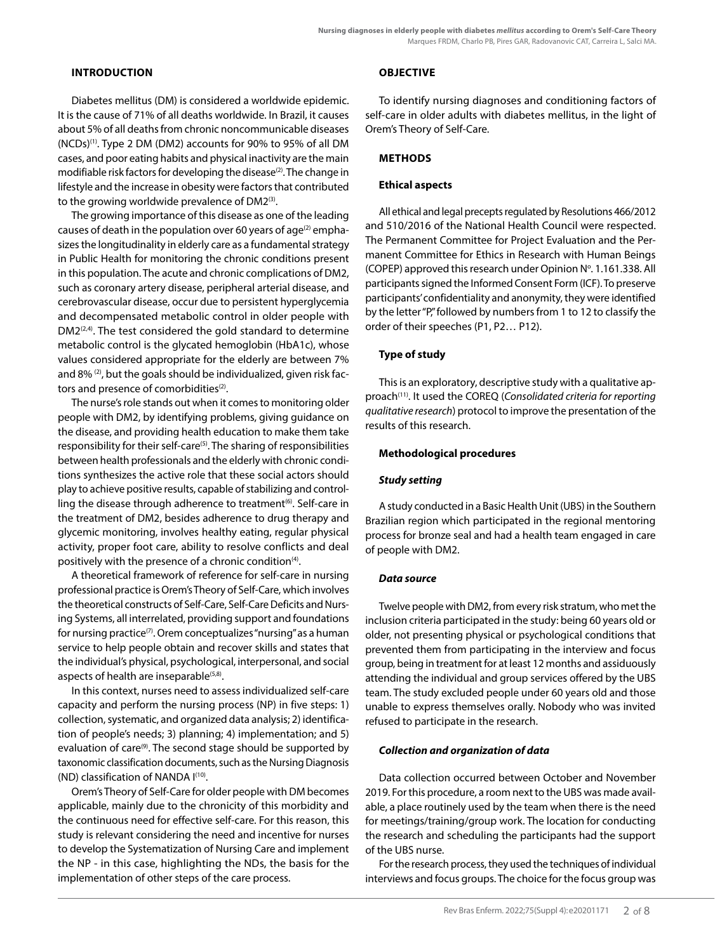### **INTRODUCTION**

Diabetes mellitus (DM) is considered a worldwide epidemic. It is the cause of 71% of all deaths worldwide. In Brazil, it causes about 5% of all deaths from chronic noncommunicable diseases (NCDs)(1). Type 2 DM (DM2) accounts for 90% to 95% of all DM cases, and poor eating habits and physical inactivity are the main modifiable risk factors for developing the disease<sup>(2)</sup>. The change in lifestyle and the increase in obesity were factors that contributed to the growing worldwide prevalence of DM2(3).

The growing importance of this disease as one of the leading causes of death in the population over 60 years of age<sup>(2)</sup> emphasizes the longitudinality in elderly care as a fundamental strategy in Public Health for monitoring the chronic conditions present in this population. The acute and chronic complications of DM2, such as coronary artery disease, peripheral arterial disease, and cerebrovascular disease, occur due to persistent hyperglycemia and decompensated metabolic control in older people with DM2<sup>(2,4)</sup>. The test considered the gold standard to determine metabolic control is the glycated hemoglobin (HbA1c), whose values considered appropriate for the elderly are between 7% and 8% (2), but the goals should be individualized, given risk factors and presence of comorbidities<sup>(2)</sup>.

The nurse's role stands out when it comes to monitoring older people with DM2, by identifying problems, giving guidance on the disease, and providing health education to make them take responsibility for their self-care<sup>(5)</sup>. The sharing of responsibilities between health professionals and the elderly with chronic conditions synthesizes the active role that these social actors should play to achieve positive results, capable of stabilizing and controlling the disease through adherence to treatment<sup>(6)</sup>. Self-care in the treatment of DM2, besides adherence to drug therapy and glycemic monitoring, involves healthy eating, regular physical activity, proper foot care, ability to resolve conflicts and deal positively with the presence of a chronic condition<sup>(4)</sup>.

A theoretical framework of reference for self-care in nursing professional practice is Orem's Theory of Self-Care, which involves the theoretical constructs of Self-Care, Self-Care Deficits and Nursing Systems, all interrelated, providing support and foundations for nursing practice<sup>(7)</sup>. Orem conceptualizes "nursing" as a human service to help people obtain and recover skills and states that the individual's physical, psychological, interpersonal, and social aspects of health are inseparable<sup>(5,8)</sup>.

In this context, nurses need to assess individualized self-care capacity and perform the nursing process (NP) in five steps: 1) collection, systematic, and organized data analysis; 2) identification of people's needs; 3) planning; 4) implementation; and 5) evaluation of care<sup>(9)</sup>. The second stage should be supported by taxonomic classification documents, such as the Nursing Diagnosis (ND) classification of NANDA I(10).

Orem's Theory of Self-Care for older people with DM becomes applicable, mainly due to the chronicity of this morbidity and the continuous need for effective self-care. For this reason, this study is relevant considering the need and incentive for nurses to develop the Systematization of Nursing Care and implement the NP - in this case, highlighting the NDs, the basis for the implementation of other steps of the care process.

## **OBJECTIVE**

To identify nursing diagnoses and conditioning factors of self-care in older adults with diabetes mellitus, in the light of Orem's Theory of Self-Care.

## **METHODS**

## **Ethical aspects**

All ethical and legal precepts regulated by Resolutions 466/2012 and 510/2016 of the National Health Council were respected. The Permanent Committee for Project Evaluation and the Permanent Committee for Ethics in Research with Human Beings (COPEP) approved this research under Opinion N°. 1.161.338. All participants signed the Informed Consent Form (ICF). To preserve participants' confidentiality and anonymity, they were identified by the letter "P" followed by numbers from 1 to 12 to classify the order of their speeches (P1, P2… P12).

## **Type of study**

This is an exploratory, descriptive study with a qualitative approach(11). It used the COREQ (*Consolidated criteria for reporting qualitative research*) protocol to improve the presentation of the results of this research.

### **Methodological procedures**

## *Study setting*

A study conducted in a Basic Health Unit (UBS) in the Southern Brazilian region which participated in the regional mentoring process for bronze seal and had a health team engaged in care of people with DM2.

#### *Data source*

Twelve people with DM2, from every risk stratum, who met the inclusion criteria participated in the study: being 60 years old or older, not presenting physical or psychological conditions that prevented them from participating in the interview and focus group, being in treatment for at least 12 months and assiduously attending the individual and group services offered by the UBS team. The study excluded people under 60 years old and those unable to express themselves orally. Nobody who was invited refused to participate in the research.

#### *Collection and organization of data*

Data collection occurred between October and November 2019. For this procedure, a room next to the UBS was made available, a place routinely used by the team when there is the need for meetings/training/group work. The location for conducting the research and scheduling the participants had the support of the UBS nurse.

For the research process, they used the techniques of individual interviews and focus groups. The choice for the focus group was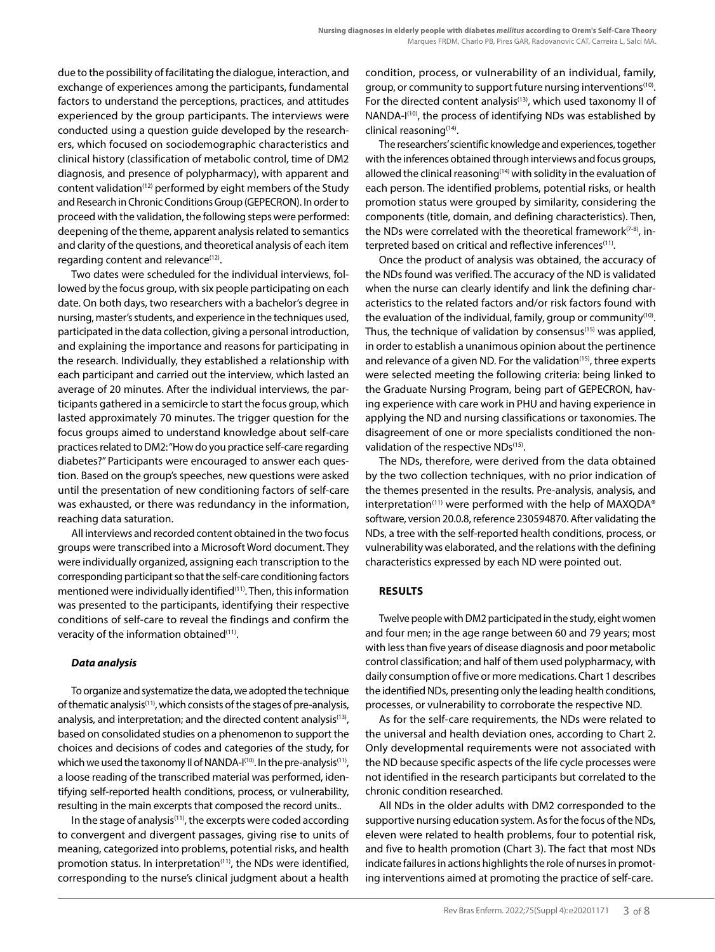due to the possibility of facilitating the dialogue, interaction, and exchange of experiences among the participants, fundamental factors to understand the perceptions, practices, and attitudes experienced by the group participants. The interviews were conducted using a question guide developed by the researchers, which focused on sociodemographic characteristics and clinical history (classification of metabolic control, time of DM2 diagnosis, and presence of polypharmacy), with apparent and content validation<sup>(12)</sup> performed by eight members of the Study and Research in Chronic Conditions Group (GEPECRON). In order to proceed with the validation, the following steps were performed: deepening of the theme, apparent analysis related to semantics and clarity of the questions, and theoretical analysis of each item regarding content and relevance<sup>(12)</sup>.

Two dates were scheduled for the individual interviews, followed by the focus group, with six people participating on each date. On both days, two researchers with a bachelor's degree in nursing, master's students, and experience in the techniques used, participated in the data collection, giving a personal introduction, and explaining the importance and reasons for participating in the research. Individually, they established a relationship with each participant and carried out the interview, which lasted an average of 20 minutes. After the individual interviews, the participants gathered in a semicircle to start the focus group, which lasted approximately 70 minutes. The trigger question for the focus groups aimed to understand knowledge about self-care practices related to DM2: "How do you practice self-care regarding diabetes?" Participants were encouraged to answer each question. Based on the group's speeches, new questions were asked until the presentation of new conditioning factors of self-care was exhausted, or there was redundancy in the information, reaching data saturation.

All interviews and recorded content obtained in the two focus groups were transcribed into a Microsoft Word document. They were individually organized, assigning each transcription to the corresponding participant so that the self-care conditioning factors mentioned were individually identified<sup>(11)</sup>. Then, this information was presented to the participants, identifying their respective conditions of self-care to reveal the findings and confirm the veracity of the information obtained<sup>(11)</sup>.

#### *Data analysis*

To organize and systematize the data, we adopted the technique of thematic analysis<sup>(11)</sup>, which consists of the stages of pre-analysis, analysis, and interpretation; and the directed content analysis<sup>(13)</sup>, based on consolidated studies on a phenomenon to support the choices and decisions of codes and categories of the study, for which we used the taxonomy II of NANDA-I<sup>(10)</sup>. In the pre-analysis<sup>(11)</sup>, a loose reading of the transcribed material was performed, identifying self-reported health conditions, process, or vulnerability, resulting in the main excerpts that composed the record units..

In the stage of analysis $(11)$ , the excerpts were coded according to convergent and divergent passages, giving rise to units of meaning, categorized into problems, potential risks, and health promotion status. In interpretation<sup>(11)</sup>, the NDs were identified, corresponding to the nurse's clinical judgment about a health condition, process, or vulnerability of an individual, family, group, or community to support future nursing interventions<sup>(10)</sup>. For the directed content analysis<sup>(13)</sup>, which used taxonomy II of NANDA-I(10), the process of identifying NDs was established by clinical reasoning(14).

The researchers' scientific knowledge and experiences, together with the inferences obtained through interviews and focus groups, allowed the clinical reasoning<sup>(14)</sup> with solidity in the evaluation of each person. The identified problems, potential risks, or health promotion status were grouped by similarity, considering the components (title, domain, and defining characteristics). Then, the NDs were correlated with the theoretical framework $(7-8)$ , interpreted based on critical and reflective inferences<sup>(11)</sup>.

Once the product of analysis was obtained, the accuracy of the NDs found was verified. The accuracy of the ND is validated when the nurse can clearly identify and link the defining characteristics to the related factors and/or risk factors found with the evaluation of the individual, family, group or community<sup>(10)</sup>. Thus, the technique of validation by consensus<sup>(15)</sup> was applied, in order to establish a unanimous opinion about the pertinence and relevance of a given ND. For the validation<sup>(15)</sup>, three experts were selected meeting the following criteria: being linked to the Graduate Nursing Program, being part of GEPECRON, having experience with care work in PHU and having experience in applying the ND and nursing classifications or taxonomies. The disagreement of one or more specialists conditioned the nonvalidation of the respective NDs<sup>(15)</sup>.

The NDs, therefore, were derived from the data obtained by the two collection techniques, with no prior indication of the themes presented in the results. Pre-analysis, analysis, and interpretation<sup>(11)</sup> were performed with the help of MAXQDA® software, version 20.0.8, reference 230594870. After validating the NDs, a tree with the self-reported health conditions, process, or vulnerability was elaborated, and the relations with the defining characteristics expressed by each ND were pointed out.

#### **RESULTS**

Twelve people with DM2 participated in the study, eight women and four men; in the age range between 60 and 79 years; most with less than five years of disease diagnosis and poor metabolic control classification; and half of them used polypharmacy, with daily consumption of five or more medications. Chart 1 describes the identified NDs, presenting only the leading health conditions, processes, or vulnerability to corroborate the respective ND.

As for the self-care requirements, the NDs were related to the universal and health deviation ones, according to Chart 2. Only developmental requirements were not associated with the ND because specific aspects of the life cycle processes were not identified in the research participants but correlated to the chronic condition researched.

All NDs in the older adults with DM2 corresponded to the supportive nursing education system. As for the focus of the NDs, eleven were related to health problems, four to potential risk, and five to health promotion (Chart 3). The fact that most NDs indicate failures in actions highlights the role of nurses in promoting interventions aimed at promoting the practice of self-care.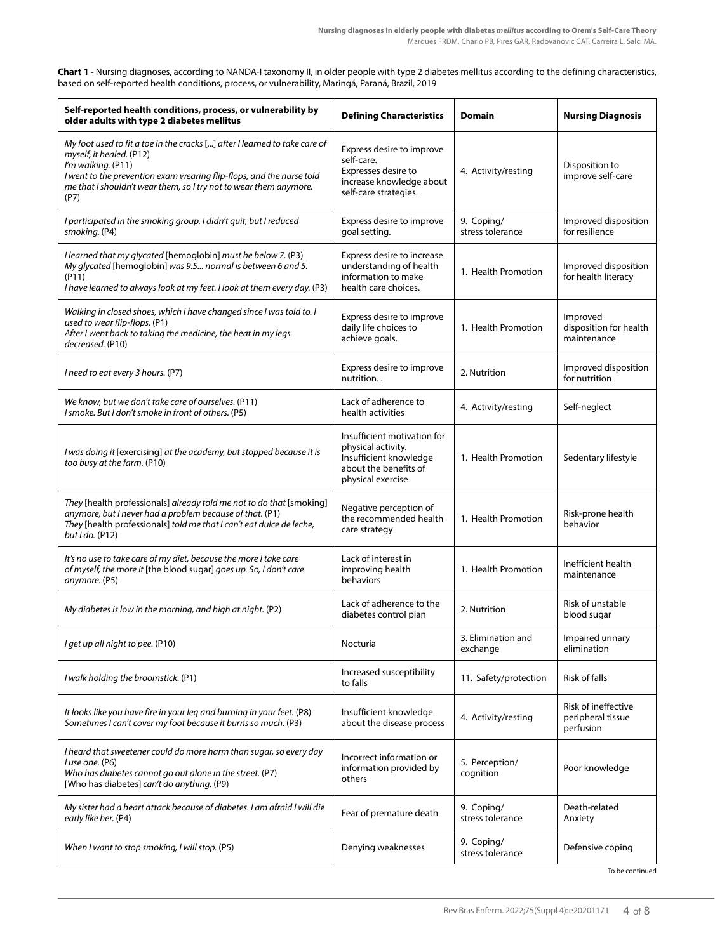**Chart 1 -** Nursing diagnoses, according to NANDA-I taxonomy II, in older people with type 2 diabetes mellitus according to the defining characteristics, based on self-reported health conditions, process, or vulnerability, Maringá, Paraná, Brazil, 2019

| Self-reported health conditions, process, or vulnerability by<br>older adults with type 2 diabetes mellitus                                                                                                                                                                       | <b>Defining Characteristics</b>                                                                                           | <b>Domain</b>                  | <b>Nursing Diagnosis</b>                              |
|-----------------------------------------------------------------------------------------------------------------------------------------------------------------------------------------------------------------------------------------------------------------------------------|---------------------------------------------------------------------------------------------------------------------------|--------------------------------|-------------------------------------------------------|
| My foot used to fit a toe in the cracks [] after I learned to take care of<br>myself, it healed. (P12)<br>I'm walking. (P11)<br>I went to the prevention exam wearing flip-flops, and the nurse told<br>me that I shouldn't wear them, so I try not to wear them anymore.<br>(P7) | Express desire to improve<br>self-care.<br>Expresses desire to<br>increase knowledge about<br>self-care strategies.       | 4. Activity/resting            | Disposition to<br>improve self-care                   |
| I participated in the smoking group. I didn't quit, but I reduced<br>smoking. (P4)                                                                                                                                                                                                | Express desire to improve<br>goal setting.                                                                                | 9. Coping/<br>stress tolerance | Improved disposition<br>for resilience                |
| I learned that my glycated [hemoglobin] must be below 7. (P3)<br>My glycated [hemoglobin] was 9.5 normal is between 6 and 5.<br>(P11)<br>I have learned to always look at my feet. I look at them every day. (P3)                                                                 | Express desire to increase<br>understanding of health<br>information to make<br>health care choices.                      | 1. Health Promotion            | Improved disposition<br>for health literacy           |
| Walking in closed shoes, which I have changed since I was told to. I<br>used to wear flip-flops. (P1)<br>After I went back to taking the medicine, the heat in my legs<br>decreased. (P10)                                                                                        | Express desire to improve<br>daily life choices to<br>achieve goals.                                                      | 1. Health Promotion            | Improved<br>disposition for health<br>maintenance     |
| I need to eat every 3 hours. (P7)                                                                                                                                                                                                                                                 | Express desire to improve<br>nutrition                                                                                    | 2. Nutrition                   | Improved disposition<br>for nutrition                 |
| We know, but we don't take care of ourselves. (P11)<br>I smoke. But I don't smoke in front of others. (P5)                                                                                                                                                                        | Lack of adherence to<br>health activities                                                                                 | 4. Activity/resting            | Self-neglect                                          |
| I was doing it [exercising] at the academy, but stopped because it is<br>too busy at the farm. (P10)                                                                                                                                                                              | Insufficient motivation for<br>physical activity.<br>Insufficient knowledge<br>about the benefits of<br>physical exercise | 1. Health Promotion            | Sedentary lifestyle                                   |
| They [health professionals] already told me not to do that [smoking]<br>anymore, but I never had a problem because of that. (P1)<br>They [health professionals] told me that I can't eat dulce de leche,<br>but I do. (P12)                                                       | Negative perception of<br>the recommended health<br>care strategy                                                         | 1. Health Promotion            | Risk-prone health<br>behavior                         |
| It's no use to take care of my diet, because the more I take care<br>of myself, the more it [the blood sugar] goes up. So, I don't care<br>anymore. (P5)                                                                                                                          | Lack of interest in<br>improving health<br>behaviors                                                                      | 1. Health Promotion            | Inefficient health<br>maintenance                     |
| My diabetes is low in the morning, and high at night. (P2)                                                                                                                                                                                                                        | Lack of adherence to the<br>diabetes control plan                                                                         | 2. Nutrition                   | Risk of unstable<br>blood sugar                       |
| I get up all night to pee. (P10)                                                                                                                                                                                                                                                  | Nocturia                                                                                                                  | 3. Elimination and<br>exchange | Impaired urinary<br>elimination                       |
| I walk holding the broomstick. (P1)                                                                                                                                                                                                                                               | Increased susceptibility<br>to falls                                                                                      | 11. Safety/protection          | Risk of falls                                         |
| It looks like you have fire in your leg and burning in your feet. (P8)<br>Sometimes I can't cover my foot because it burns so much. (P3)                                                                                                                                          | Insufficient knowledge<br>about the disease process                                                                       | 4. Activity/resting            | Risk of ineffective<br>peripheral tissue<br>perfusion |
| I heard that sweetener could do more harm than sugar, so every day<br>I use one. (P6)<br>Who has diabetes cannot go out alone in the street. (P7)<br>[Who has diabetes] can't do anything. (P9)                                                                                   | Incorrect information or<br>information provided by<br>others                                                             | 5. Perception/<br>cognition    | Poor knowledge                                        |
| My sister had a heart attack because of diabetes. I am afraid I will die<br>early like her. (P4)                                                                                                                                                                                  | Fear of premature death                                                                                                   | 9. Coping/<br>stress tolerance | Death-related<br>Anxiety                              |
| When I want to stop smoking, I will stop. (P5)                                                                                                                                                                                                                                    | Denying weaknesses                                                                                                        | 9. Coping/<br>stress tolerance | Defensive coping                                      |

To be continued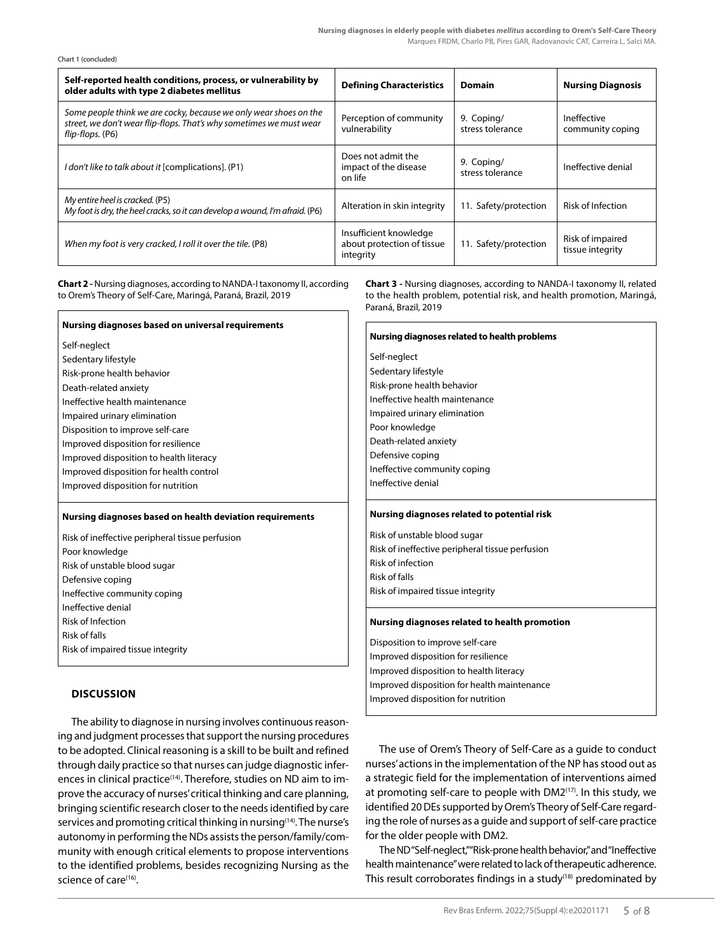| Chart 1 (concluded) |  |  |
|---------------------|--|--|
|---------------------|--|--|

| Self-reported health conditions, process, or vulnerability by<br>older adults with type 2 diabetes mellitus                                                  | <b>Defining Characteristics</b>                                   | <b>Domain</b>                  | <b>Nursing Diagnosis</b>             |
|--------------------------------------------------------------------------------------------------------------------------------------------------------------|-------------------------------------------------------------------|--------------------------------|--------------------------------------|
| Some people think we are cocky, because we only wear shoes on the<br>street, we don't wear flip-flops. That's why sometimes we must wear<br>flip-flops. (P6) | Perception of community<br>vulnerability                          | 9. Coping/<br>stress tolerance | Ineffective<br>community coping      |
| I don't like to talk about it [complications]. (P1)                                                                                                          | Does not admit the<br>impact of the disease<br>on life            | 9. Coping/<br>stress tolerance | Ineffective denial                   |
| My entire heel is cracked. (P5)<br>My foot is dry, the heel cracks, so it can develop a wound, I'm afraid. (P6)                                              | Alteration in skin integrity                                      | 11. Safety/protection          | <b>Risk of Infection</b>             |
| When my foot is very cracked, I roll it over the tile. (P8)                                                                                                  | Insufficient knowledge<br>about protection of tissue<br>integrity | 11. Safety/protection          | Risk of impaired<br>tissue integrity |

**Chart 2 -** Nursing diagnoses, according to NANDA-I taxonomy II, according to Orem's Theory of Self-Care, Maringá, Paraná, Brazil, 2019

| Nursing diagnoses based on universal requirements        |  |
|----------------------------------------------------------|--|
| Self-neglect                                             |  |
| Sedentary lifestyle                                      |  |
| Risk-prone health behavior                               |  |
| Death-related anxiety                                    |  |
| Ineffective health maintenance                           |  |
| Impaired urinary elimination                             |  |
| Disposition to improve self-care                         |  |
| Improved disposition for resilience                      |  |
| Improved disposition to health literacy                  |  |
| Improved disposition for health control                  |  |
| Improved disposition for nutrition                       |  |
| Nursing diagnoses based on health deviation requirements |  |
|                                                          |  |
| Risk of ineffective peripheral tissue perfusion          |  |
| Poor knowledge                                           |  |
| Risk of unstable blood sugar                             |  |
| Defensive coping                                         |  |
| Ineffective community coping                             |  |
| Ineffective denial                                       |  |
| <b>Risk of Infection</b>                                 |  |
| <b>Risk of falls</b>                                     |  |
| Risk of impaired tissue integrity                        |  |

## Improved disposition for nutrition **DISCUSSION**

The ability to diagnose in nursing involves continuous reasoning and judgment processes that support the nursing procedures to be adopted. Clinical reasoning is a skill to be built and refined through daily practice so that nurses can judge diagnostic inferences in clinical practice<sup>(14)</sup>. Therefore, studies on ND aim to improve the accuracy of nurses' critical thinking and care planning, bringing scientific research closer to the needs identified by care services and promoting critical thinking in nursing<sup>(14)</sup>. The nurse's autonomy in performing the NDs assists the person/family/community with enough critical elements to propose interventions to the identified problems, besides recognizing Nursing as the science of care<sup>(16)</sup>.

**Chart 3 -** Nursing diagnoses, according to NANDA-I taxonomy II, related to the health problem, potential risk, and health promotion, Maringá, Paraná, Brazil, 2019

| Nursing diagnoses related to health problems    |  |  |  |
|-------------------------------------------------|--|--|--|
| Self-neglect                                    |  |  |  |
| Sedentary lifestyle                             |  |  |  |
| Risk-prone health behavior                      |  |  |  |
| Ineffective health maintenance                  |  |  |  |
| Impaired urinary elimination                    |  |  |  |
| Poor knowledge                                  |  |  |  |
| Death-related anxiety                           |  |  |  |
| Defensive coping                                |  |  |  |
| Ineffective community coping                    |  |  |  |
| Ineffective denial                              |  |  |  |
|                                                 |  |  |  |
| Nursing diagnoses related to potential risk     |  |  |  |
| Risk of unstable blood sugar                    |  |  |  |
| Risk of ineffective peripheral tissue perfusion |  |  |  |
| Risk of infection                               |  |  |  |
| <b>Risk of falls</b>                            |  |  |  |
| Risk of impaired tissue integrity               |  |  |  |
| Nursing diagnoses related to health promotion   |  |  |  |
| Disposition to improve self-care                |  |  |  |
| Improved disposition for resilience             |  |  |  |
| Improved disposition to health literacy         |  |  |  |
| Improved disposition for health maintenance     |  |  |  |

The use of Orem's Theory of Self-Care as a guide to conduct nurses' actions in the implementation of the NP has stood out as a strategic field for the implementation of interventions aimed at promoting self-care to people with DM2<sup>(17)</sup>. In this study, we identified 20 DEs supported by Orem's Theory of Self-Care regarding the role of nurses as a guide and support of self-care practice for the older people with DM2.

The ND "Self-neglect," "Risk-prone health behavior," and "Ineffective health maintenance" were related to lack of therapeutic adherence. This result corroborates findings in a study<sup>(18)</sup> predominated by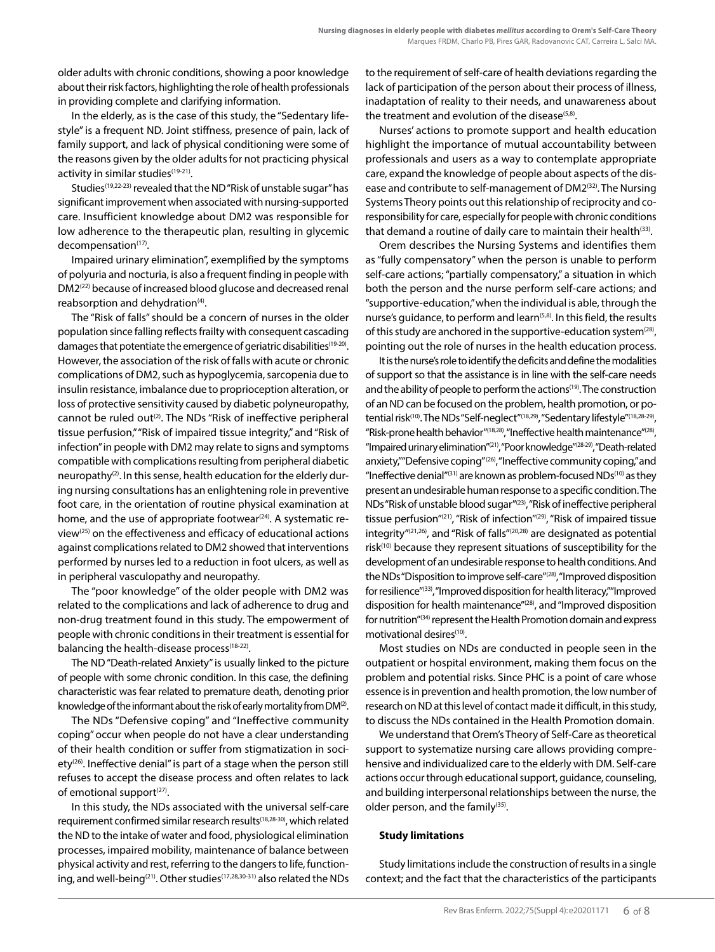older adults with chronic conditions, showing a poor knowledge about their risk factors, highlighting the role of health professionals in providing complete and clarifying information.

In the elderly, as is the case of this study, the "Sedentary lifestyle" is a frequent ND. Joint stiffness, presence of pain, lack of family support, and lack of physical conditioning were some of the reasons given by the older adults for not practicing physical activity in similar studies<sup>(19-21)</sup>.

Studies<sup>(19,22-23)</sup> revealed that the ND "Risk of unstable sugar" has significant improvement when associated with nursing-supported care. Insufficient knowledge about DM2 was responsible for low adherence to the therapeutic plan, resulting in glycemic decompensation<sup>(17)</sup>.

Impaired urinary elimination", exemplified by the symptoms of polyuria and nocturia, is also a frequent finding in people with DM2(22) because of increased blood glucose and decreased renal reabsorption and dehydration<sup>(4)</sup>.

The "Risk of falls" should be a concern of nurses in the older population since falling reflects frailty with consequent cascading damages that potentiate the emergence of geriatric disabilities<sup>(19-20)</sup>. However, the association of the risk of falls with acute or chronic complications of DM2, such as hypoglycemia, sarcopenia due to insulin resistance, imbalance due to proprioception alteration, or loss of protective sensitivity caused by diabetic polyneuropathy, cannot be ruled out<sup>(2)</sup>. The NDs "Risk of ineffective peripheral tissue perfusion," "Risk of impaired tissue integrity," and "Risk of infection" in people with DM2 may relate to signs and symptoms compatible with complications resulting from peripheral diabetic neuropathy(2). In this sense, health education for the elderly during nursing consultations has an enlightening role in preventive foot care, in the orientation of routine physical examination at home, and the use of appropriate footwear<sup>(24)</sup>. A systematic review(25) on the effectiveness and efficacy of educational actions against complications related to DM2 showed that interventions performed by nurses led to a reduction in foot ulcers, as well as in peripheral vasculopathy and neuropathy.

The "poor knowledge" of the older people with DM2 was related to the complications and lack of adherence to drug and non-drug treatment found in this study. The empowerment of people with chronic conditions in their treatment is essential for balancing the health-disease process<sup>(18-22)</sup>.

The ND "Death-related Anxiety" is usually linked to the picture of people with some chronic condition. In this case, the defining characteristic was fear related to premature death, denoting prior knowledge of the informant about the risk of early mortality from DM(2).

The NDs "Defensive coping" and "Ineffective community coping" occur when people do not have a clear understanding of their health condition or suffer from stigmatization in society<sup>(26)</sup>. Ineffective denial" is part of a stage when the person still refuses to accept the disease process and often relates to lack of emotional support $(27)$ .

In this study, the NDs associated with the universal self-care requirement confirmed similar research results(18,28-30), which related the ND to the intake of water and food, physiological elimination processes, impaired mobility, maintenance of balance between physical activity and rest, referring to the dangers to life, functioning, and well-being<sup>(21)</sup>. Other studies<sup>(17,28,30-31)</sup> also related the NDs to the requirement of self-care of health deviations regarding the lack of participation of the person about their process of illness, inadaptation of reality to their needs, and unawareness about the treatment and evolution of the disease<sup>(5,8)</sup>.

Nurses' actions to promote support and health education highlight the importance of mutual accountability between professionals and users as a way to contemplate appropriate care, expand the knowledge of people about aspects of the disease and contribute to self-management of DM2<sup>(32)</sup>. The Nursing Systems Theory points out this relationship of reciprocity and coresponsibility for care, especially for people with chronic conditions that demand a routine of daily care to maintain their health $(33)$ .

Orem describes the Nursing Systems and identifies them as "fully compensatory" when the person is unable to perform self-care actions; "partially compensatory," a situation in which both the person and the nurse perform self-care actions; and "supportive-education," when the individual is able, through the nurse's guidance, to perform and learn<sup>(5,8)</sup>. In this field, the results of this study are anchored in the supportive-education system $(28)$ , pointing out the role of nurses in the health education process.

It is the nurse's role to identify the deficits and define the modalities of support so that the assistance is in line with the self-care needs and the ability of people to perform the actions<sup>(19)</sup>. The construction of an ND can be focused on the problem, health promotion, or potential risk<sup>(10)</sup>. The NDs "Self-neglect"<sup>(18,29)</sup>, "Sedentary lifestyle"<sup>(18,28-29)</sup>, "Risk-prone health behavior"(18,28), "Ineffective health maintenance"(28), "Impaired urinary elimination"(21), "Poor knowledge"<sup>(28-29)</sup>, "Death-related anxiety,""Defensive coping"<sup>(26)</sup>, "Ineffective community coping," and "Ineffective denial" $(31)$  are known as problem-focused NDs $(10)$  as they present an undesirable human response to a specific condition. The NDs "Risk of unstable blood sugar"(23), "Risk of ineffective peripheral tissue perfusion"(21), "Risk of infection"(29), "Risk of impaired tissue integrity"(21,26), and "Risk of falls"(20,28) are designated as potential risk(10) because they represent situations of susceptibility for the development of an undesirable response to health conditions. And the NDs "Disposition to improve self-care"<sup>(28)</sup>, "Improved disposition for resilience"(33), "Improved disposition for health literacy," "Improved disposition for health maintenance"(28), and "Improved disposition for nutrition"(34) represent the Health Promotion domain and express motivational desires<sup>(10)</sup>.

Most studies on NDs are conducted in people seen in the outpatient or hospital environment, making them focus on the problem and potential risks. Since PHC is a point of care whose essence is in prevention and health promotion, the low number of research on ND at this level of contact made it difficult, in this study, to discuss the NDs contained in the Health Promotion domain.

We understand that Orem's Theory of Self-Care as theoretical support to systematize nursing care allows providing comprehensive and individualized care to the elderly with DM. Self-care actions occur through educational support, guidance, counseling, and building interpersonal relationships between the nurse, the older person, and the family $(35)$ .

#### **Study limitations**

Study limitations include the construction of results in a single context; and the fact that the characteristics of the participants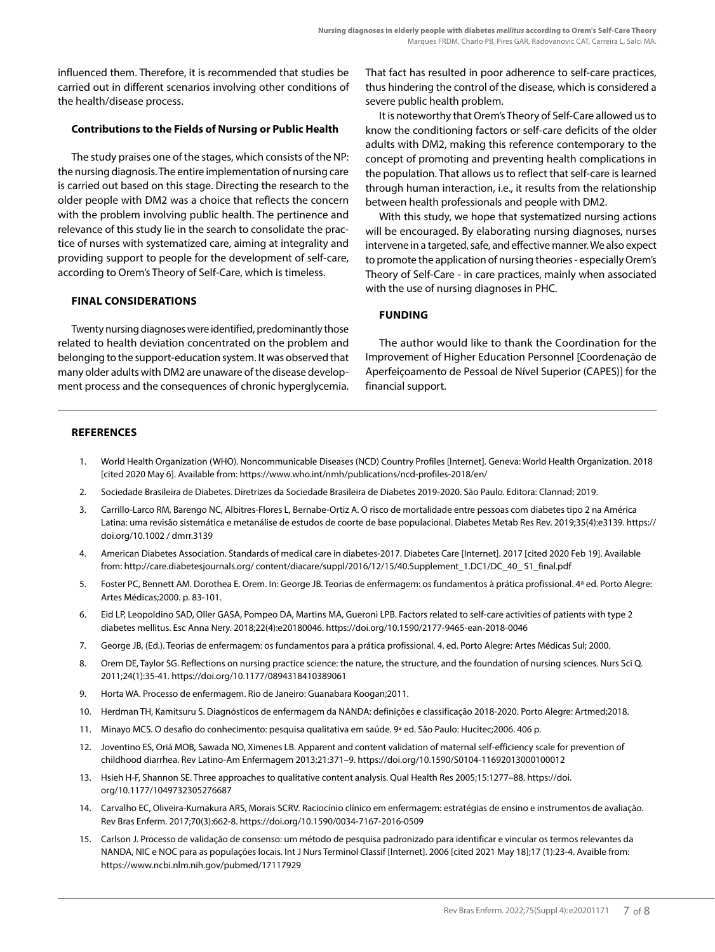influenced them. Therefore, it is recommended that studies be carried out in different scenarios involving other conditions of the health/disease process.

#### **Contributions to the Fields of Nursing or Public Health**

The study praises one of the stages, which consists of the NP: the nursing diagnosis. The entire implementation of nursing care is carried out based on this stage. Directing the research to the older people with DM2 was a choice that reflects the concern with the problem involving public health. The pertinence and relevance of this study lie in the search to consolidate the practice of nurses with systematized care, aiming at integrality and providing support to people for the development of self-care, according to Orem's Theory of Self-Care, which is timeless.

#### **FINAL CONSIDERATIONS**

Twenty nursing diagnoses were identified, predominantly those related to health deviation concentrated on the problem and belonging to the support-education system. It was observed that many older adults with DM2 are unaware of the disease development process and the consequences of chronic hyperglycemia. That fact has resulted in poor adherence to self-care practices, thus hindering the control of the disease, which is considered a severe public health problem.

It is noteworthy that Orem's Theory of Self-Care allowed us to know the conditioning factors or self-care deficits of the older adults with DM2, making this reference contemporary to the concept of promoting and preventing health complications in the population. That allows us to reflect that self-care is learned through human interaction, i.e., it results from the relationship between health professionals and people with DM2.

With this study, we hope that systematized nursing actions will be encouraged. By elaborating nursing diagnoses, nurses intervene in a targeted, safe, and effective manner. We also expect to promote the application of nursing theories - especially Orem's Theory of Self-Care - in care practices, mainly when associated with the use of nursing diagnoses in PHC.

#### **FUNDING**

The author would like to thank the Coordination for the Improvement of Higher Education Personnel [Coordenação de Aperfeiçoamento de Pessoal de Nível Superior (CAPES)] for the financial support.

#### **REFERENCES**

- 1. World Health Organization (WHO). Noncommunicable Diseases (NCD) Country Profiles [Internet]. Geneva: World Health Organization. 2018 [cited 2020 May 6]. Available from: https://www.who.int/nmh/publications/ncd-profiles-2018/en/
- 2. Sociedade Brasileira de Diabetes. Diretrizes da Sociedade Brasileira de Diabetes 2019-2020. São Paulo. Editora: Clannad; 2019.
- 3. Carrillo-Larco RM, Barengo NC, Albitres-Flores L, Bernabe-Ortiz A. O risco de mortalidade entre pessoas com diabetes tipo 2 na América Latina: uma revisão sistemática e metanálise de estudos de coorte de base populacional. Diabetes Metab Res Rev. 2019;35(4):e3139. https:// doi.org/10.1002 / dmrr.3139
- 4. American Diabetes Association. Standards of medical care in diabetes-2017. Diabetes Care [Internet]. 2017 [cited 2020 Feb 19]. Available from: http://care.diabetesjournals.org/ content/diacare/suppl/2016/12/15/40.Supplement\_1.DC1/DC\_40\_ S1\_final.pdf
- 5. Foster PC, Bennett AM. Dorothea E. Orem. In: George JB. Teorias de enfermagem: os fundamentos à prática profissional. 4ª ed. Porto Alegre: Artes Médicas;2000. p. 83-101.
- 6. Eid LP, Leopoldino SAD, Oller GASA, Pompeo DA, Martins MA, Gueroni LPB. Factors related to self-care activities of patients with type 2 diabetes mellitus. Esc Anna Nery. 2018;22(4):e20180046. https://doi.org/10.1590/2177-9465-ean-2018-0046
- 7. George JB, (Ed.). Teorias de enfermagem: os fundamentos para a prática profissional. 4. ed. Porto Alegre: Artes Médicas Sul; 2000.
- 8. Orem DE, Taylor SG. Reflections on nursing practice science: the nature, the structure, and the foundation of nursing sciences. Nurs Sci Q. 2011;24(1):35-41. https://doi.org/10.1177/0894318410389061
- 9. Horta WA. Processo de enfermagem. Rio de Janeiro: Guanabara Koogan;2011.
- 10. Herdman TH, Kamitsuru S. Diagnósticos de enfermagem da NANDA: definições e classificação 2018-2020. Porto Alegre: Artmed;2018.
- 11. Minayo MCS. O desafio do conhecimento: pesquisa qualitativa em saúde. 9ª ed. São Paulo: Hucitec;2006. 406 p.
- 12. Joventino ES, Oriá MOB, Sawada NO, Ximenes LB. Apparent and content validation of maternal self-efficiency scale for prevention of childhood diarrhea. Rev Latino-Am Enfermagem 2013;21:371–9. https://doi.org/10.1590/S0104-11692013000100012
- 13. Hsieh H-F, Shannon SE. Three approaches to qualitative content analysis. Qual Health Res 2005;15:1277–88. https://doi. org/10.1177/1049732305276687
- 14. Carvalho EC, Oliveira-Kumakura ARS, Morais SCRV. Raciocínio clínico em enfermagem: estratégias de ensino e instrumentos de avaliação. Rev Bras Enferm. 2017;70(3):662-8. https://doi.org/10.1590/0034-7167-2016-0509
- 15. Carlson J. Processo de validação de consenso: um método de pesquisa padronizado para identificar e vincular os termos relevantes da NANDA, NIC e NOC para as populações locais. Int J Nurs Terminol Classif [Internet]. 2006 [cited 2021 May 18];17 (1):23-4. Avaible from: https://www.ncbi.nlm.nih.gov/pubmed/17117929